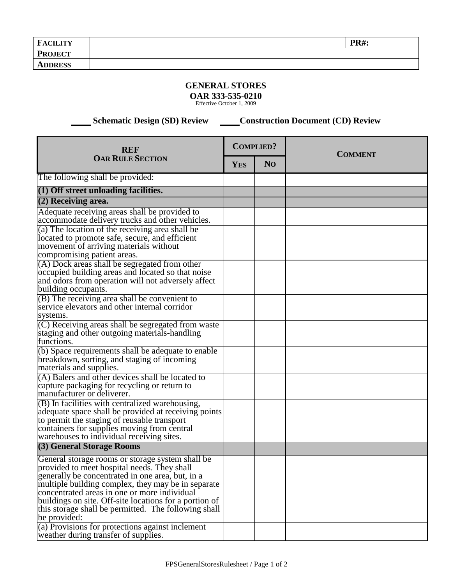| <b>FACILITY</b> | <b>PR#:</b> |
|-----------------|-------------|
| <b>PROJECT</b>  |             |
| <b>ADDRESS</b>  |             |

## **GENERAL STORES**

**OAR 333-535-0210**

Effective October 1, 2009

 **Schematic Design (SD) Review Construction Document (CD) Review** 

| <b>REF</b><br><b>OAR RULE SECTION</b>                                                                                                                                                                                                                                                                                                                                                       |  | <b>COMPLIED?</b> | <b>COMMENT</b> |
|---------------------------------------------------------------------------------------------------------------------------------------------------------------------------------------------------------------------------------------------------------------------------------------------------------------------------------------------------------------------------------------------|--|------------------|----------------|
|                                                                                                                                                                                                                                                                                                                                                                                             |  | N <sub>O</sub>   |                |
| The following shall be provided:                                                                                                                                                                                                                                                                                                                                                            |  |                  |                |
| (1) Off street unloading facilities.                                                                                                                                                                                                                                                                                                                                                        |  |                  |                |
| $(2)$ Receiving area.                                                                                                                                                                                                                                                                                                                                                                       |  |                  |                |
| Adequate receiving areas shall be provided to<br>accommodate delivery trucks and other vehicles.                                                                                                                                                                                                                                                                                            |  |                  |                |
| (a) The location of the receiving area shall be<br>located to promote safe, secure, and efficient<br>movement of arriving materials without<br>compromising patient areas.                                                                                                                                                                                                                  |  |                  |                |
| (A) Dock areas shall be segregated from other<br>occupied building areas and located so that noise<br>and odors from operation will not adversely affect<br>building occupants.                                                                                                                                                                                                             |  |                  |                |
| $(B)$ The receiving area shall be convenient to<br>service elevators and other internal corridor<br>systems.                                                                                                                                                                                                                                                                                |  |                  |                |
| (C) Receiving areas shall be segregated from waste<br>staging and other outgoing materials-handling<br>functions.                                                                                                                                                                                                                                                                           |  |                  |                |
| (b) Space requirements shall be adequate to enable<br>breakdown, sorting, and staging of incoming<br>materials and supplies.                                                                                                                                                                                                                                                                |  |                  |                |
| (A) Balers and other devices shall be located to<br>capture packaging for recycling or return to<br>manufacturer or deliverer.                                                                                                                                                                                                                                                              |  |                  |                |
| (B) In facilities with centralized warehousing,<br>adequate space shall be provided at receiving points<br>to permit the staging of reusable transport<br>containers for supplies moving from central<br>warehouses to individual receiving sites.                                                                                                                                          |  |                  |                |
| (3) General Storage Rooms                                                                                                                                                                                                                                                                                                                                                                   |  |                  |                |
| General storage rooms or storage system shall be<br>provided to meet hospital needs. They shall<br>generally be concentrated in one area, but, in a<br>multiple building complex, they may be in separate<br>concentrated areas in one or more individual<br>buildings on site. Off-site locations for a portion of<br>this storage shall be permitted. The following shall<br>be provided: |  |                  |                |
| (a) Provisions for protections against inclement<br>weather during transfer of supplies.                                                                                                                                                                                                                                                                                                    |  |                  |                |